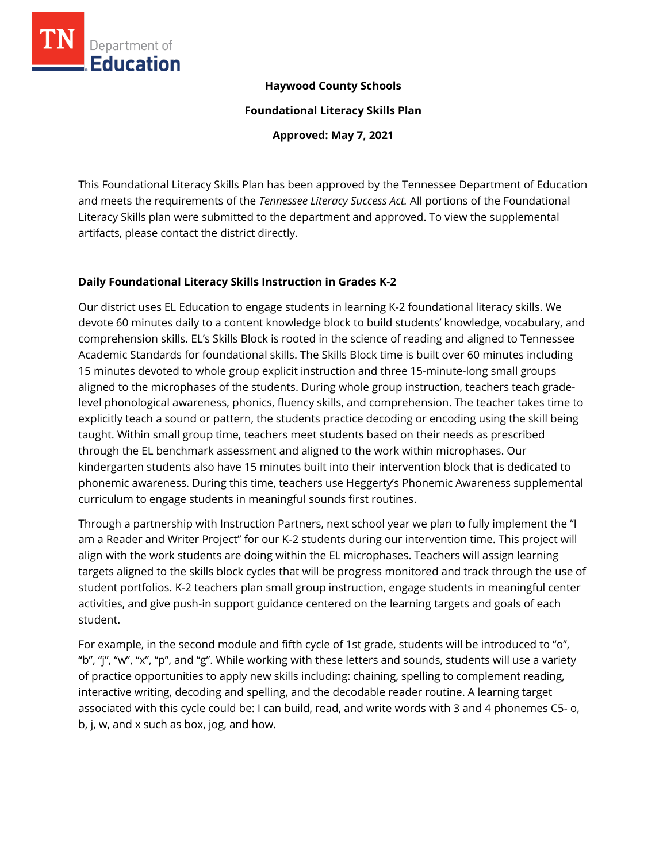

## **Haywood County Schools**

**Foundational Literacy Skills Plan**

**Approved: May 7, 2021**

This Foundational Literacy Skills Plan has been approved by the Tennessee Department of Education and meets the requirements of the *Tennessee Literacy Success Act.* All portions of the Foundational Literacy Skills plan were submitted to the department and approved. To view the supplemental artifacts, please contact the district directly.

## **Daily Foundational Literacy Skills Instruction in Grades K-2**

Our district uses EL Education to engage students in learning K-2 foundational literacy skills. We devote 60 minutes daily to a content knowledge block to build students' knowledge, vocabulary, and comprehension skills. EL's Skills Block is rooted in the science of reading and aligned to Tennessee Academic Standards for foundational skills. The Skills Block time is built over 60 minutes including 15 minutes devoted to whole group explicit instruction and three 15-minute-long small groups aligned to the microphases of the students. During whole group instruction, teachers teach gradelevel phonological awareness, phonics, fluency skills, and comprehension. The teacher takes time to explicitly teach a sound or pattern, the students practice decoding or encoding using the skill being taught. Within small group time, teachers meet students based on their needs as prescribed through the EL benchmark assessment and aligned to the work within microphases. Our kindergarten students also have 15 minutes built into their intervention block that is dedicated to phonemic awareness. During this time, teachers use Heggerty's Phonemic Awareness supplemental curriculum to engage students in meaningful sounds first routines.

Through a partnership with Instruction Partners, next school year we plan to fully implement the "I am a Reader and Writer Project" for our K-2 students during our intervention time. This project will align with the work students are doing within the EL microphases. Teachers will assign learning targets aligned to the skills block cycles that will be progress monitored and track through the use of student portfolios. K-2 teachers plan small group instruction, engage students in meaningful center activities, and give push-in support guidance centered on the learning targets and goals of each student.

For example, in the second module and fifth cycle of 1st grade, students will be introduced to "o", "b", "j", "w", "x", "p", and "g". While working with these letters and sounds, students will use a variety of practice opportunities to apply new skills including: chaining, spelling to complement reading, interactive writing, decoding and spelling, and the decodable reader routine. A learning target associated with this cycle could be: I can build, read, and write words with 3 and 4 phonemes C5- o, b, j, w, and x such as box, jog, and how.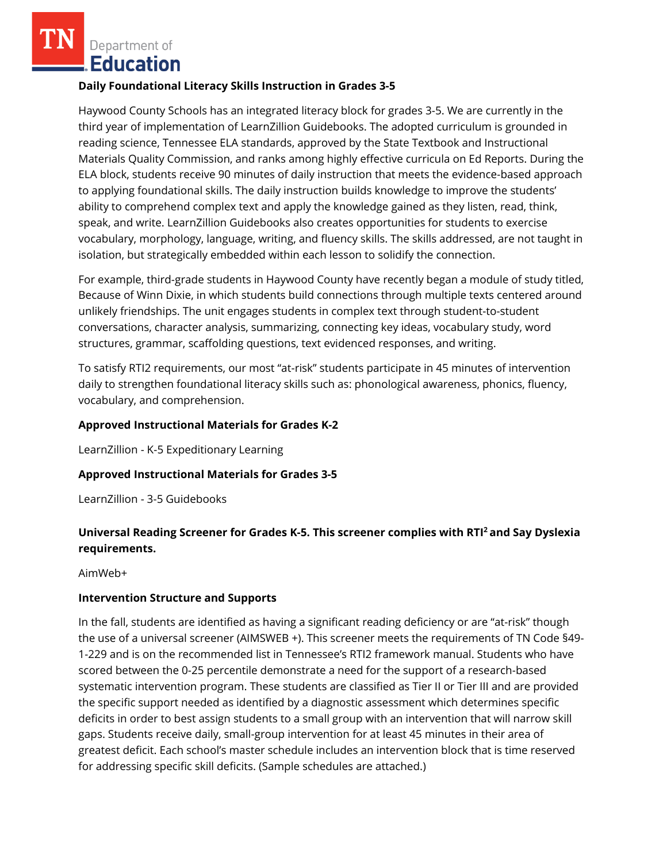Department of **Education** 

#### **Daily Foundational Literacy Skills Instruction in Grades 3-5**

Haywood County Schools has an integrated literacy block for grades 3-5. We are currently in the third year of implementation of LearnZillion Guidebooks. The adopted curriculum is grounded in reading science, Tennessee ELA standards, approved by the State Textbook and Instructional Materials Quality Commission, and ranks among highly effective curricula on Ed Reports. During the ELA block, students receive 90 minutes of daily instruction that meets the evidence-based approach to applying foundational skills. The daily instruction builds knowledge to improve the students' ability to comprehend complex text and apply the knowledge gained as they listen, read, think, speak, and write. LearnZillion Guidebooks also creates opportunities for students to exercise vocabulary, morphology, language, writing, and fluency skills. The skills addressed, are not taught in isolation, but strategically embedded within each lesson to solidify the connection.

For example, third-grade students in Haywood County have recently began a module of study titled, Because of Winn Dixie, in which students build connections through multiple texts centered around unlikely friendships. The unit engages students in complex text through student-to-student conversations, character analysis, summarizing, connecting key ideas, vocabulary study, word structures, grammar, scaffolding questions, text evidenced responses, and writing.

To satisfy RTI2 requirements, our most "at-risk" students participate in 45 minutes of intervention daily to strengthen foundational literacy skills such as: phonological awareness, phonics, fluency, vocabulary, and comprehension.

### **Approved Instructional Materials for Grades K-2**

LearnZillion - K-5 Expeditionary Learning

#### **Approved Instructional Materials for Grades 3-5**

LearnZillion - 3-5 Guidebooks

# **Universal Reading Screener for Grades K-5. This screener complies with RTI<sup>2</sup>and Say Dyslexia requirements.**

AimWeb+

#### **Intervention Structure and Supports**

In the fall, students are identified as having a significant reading deficiency or are "at-risk" though the use of a universal screener (AIMSWEB +). This screener meets the requirements of TN Code §49- 1-229 and is on the recommended list in Tennessee's RTI2 framework manual. Students who have scored between the 0-25 percentile demonstrate a need for the support of a research-based systematic intervention program. These students are classified as Tier II or Tier III and are provided the specific support needed as identified by a diagnostic assessment which determines specific deficits in order to best assign students to a small group with an intervention that will narrow skill gaps. Students receive daily, small-group intervention for at least 45 minutes in their area of greatest deficit. Each school's master schedule includes an intervention block that is time reserved for addressing specific skill deficits. (Sample schedules are attached.)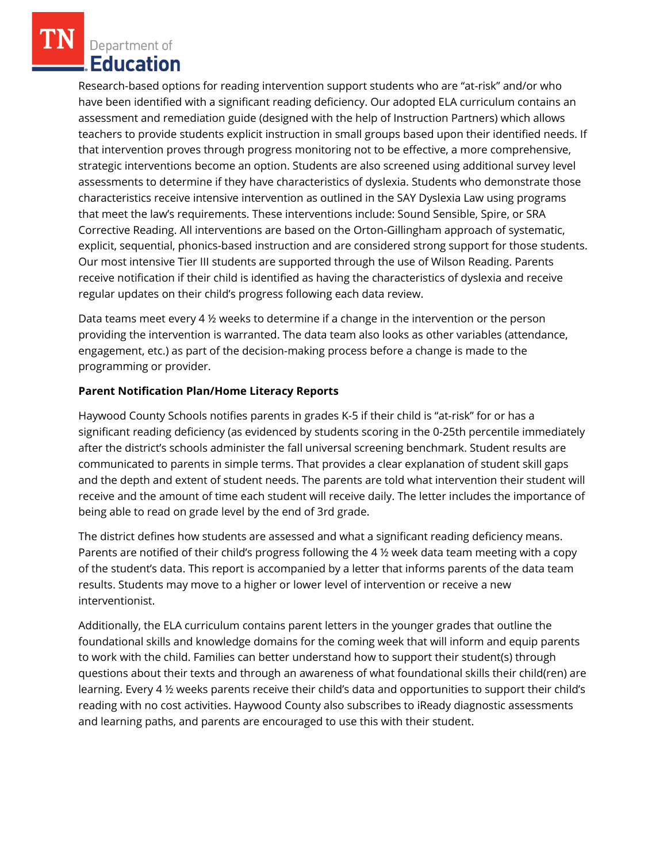Department of **Education** 

Research-based options for reading intervention support students who are "at-risk" and/or who have been identified with a significant reading deficiency. Our adopted ELA curriculum contains an assessment and remediation guide (designed with the help of Instruction Partners) which allows teachers to provide students explicit instruction in small groups based upon their identified needs. If that intervention proves through progress monitoring not to be effective, a more comprehensive, strategic interventions become an option. Students are also screened using additional survey level assessments to determine if they have characteristics of dyslexia. Students who demonstrate those characteristics receive intensive intervention as outlined in the SAY Dyslexia Law using programs that meet the law's requirements. These interventions include: Sound Sensible, Spire, or SRA Corrective Reading. All interventions are based on the Orton-Gillingham approach of systematic, explicit, sequential, phonics-based instruction and are considered strong support for those students. Our most intensive Tier III students are supported through the use of Wilson Reading. Parents receive notification if their child is identified as having the characteristics of dyslexia and receive regular updates on their child's progress following each data review.

Data teams meet every 4 ½ weeks to determine if a change in the intervention or the person providing the intervention is warranted. The data team also looks as other variables (attendance, engagement, etc.) as part of the decision-making process before a change is made to the programming or provider.

## **Parent Notification Plan/Home Literacy Reports**

Haywood County Schools notifies parents in grades K-5 if their child is "at-risk" for or has a significant reading deficiency (as evidenced by students scoring in the 0-25th percentile immediately after the district's schools administer the fall universal screening benchmark. Student results are communicated to parents in simple terms. That provides a clear explanation of student skill gaps and the depth and extent of student needs. The parents are told what intervention their student will receive and the amount of time each student will receive daily. The letter includes the importance of being able to read on grade level by the end of 3rd grade.

The district defines how students are assessed and what a significant reading deficiency means. Parents are notified of their child's progress following the 4 ½ week data team meeting with a copy of the student's data. This report is accompanied by a letter that informs parents of the data team results. Students may move to a higher or lower level of intervention or receive a new interventionist.

Additionally, the ELA curriculum contains parent letters in the younger grades that outline the foundational skills and knowledge domains for the coming week that will inform and equip parents to work with the child. Families can better understand how to support their student(s) through questions about their texts and through an awareness of what foundational skills their child(ren) are learning. Every 4 ½ weeks parents receive their child's data and opportunities to support their child's reading with no cost activities. Haywood County also subscribes to iReady diagnostic assessments and learning paths, and parents are encouraged to use this with their student.